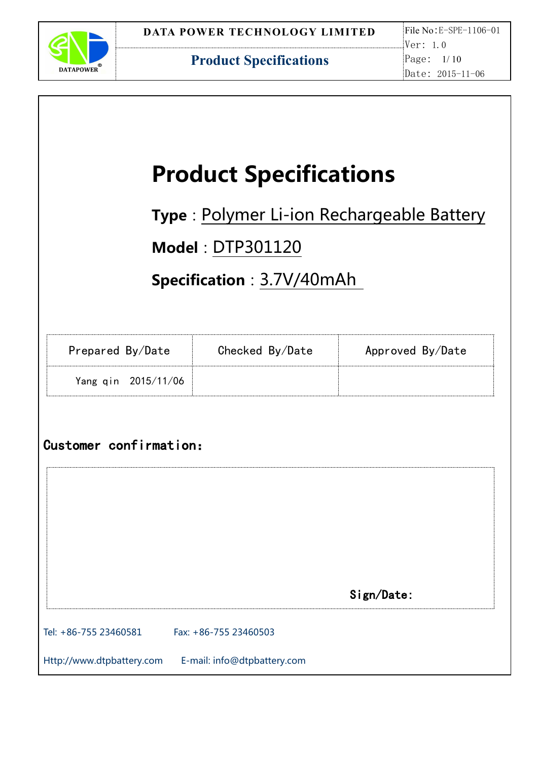

|                        | <b>Product Specifications</b>             |                  |
|------------------------|-------------------------------------------|------------------|
|                        | Type: Polymer Li-ion Rechargeable Battery |                  |
|                        | <b>Model: DTP301120</b>                   |                  |
|                        | Specification: 3.7V/40mAh                 |                  |
|                        |                                           |                  |
| Prepared By/Date       | Checked By/Date                           | Approved By/Date |
| Yang qin 2015/11/06    |                                           |                  |
|                        |                                           |                  |
|                        |                                           |                  |
| Customer confirmation: |                                           |                  |
|                        |                                           |                  |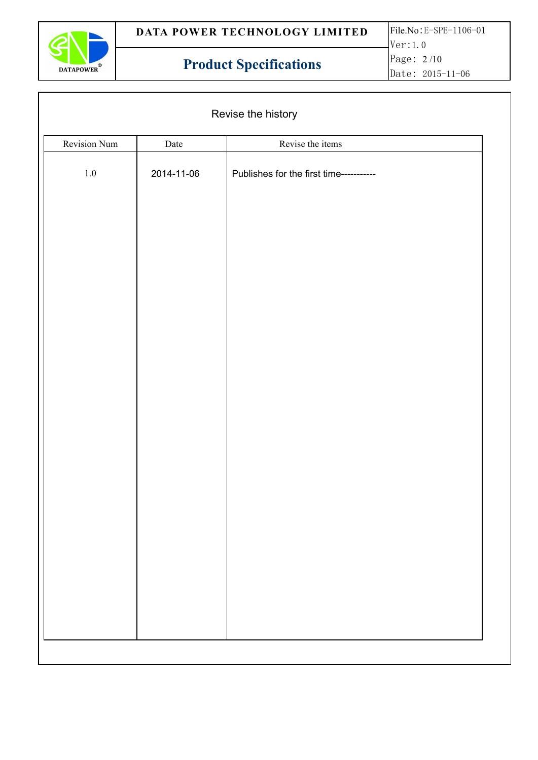

|              | Revise the history |                                         |  |
|--------------|--------------------|-----------------------------------------|--|
| Revision Num | Date               | Revise the items                        |  |
| $1.0\,$      | 2014-11-06         | Publishes for the first time----------- |  |
|              |                    |                                         |  |
|              |                    |                                         |  |
|              |                    |                                         |  |
|              |                    |                                         |  |
|              |                    |                                         |  |
|              |                    |                                         |  |
|              |                    |                                         |  |
|              |                    |                                         |  |
|              |                    |                                         |  |
|              |                    |                                         |  |
|              |                    |                                         |  |
|              |                    |                                         |  |
|              |                    |                                         |  |
|              |                    |                                         |  |
|              |                    |                                         |  |
|              |                    |                                         |  |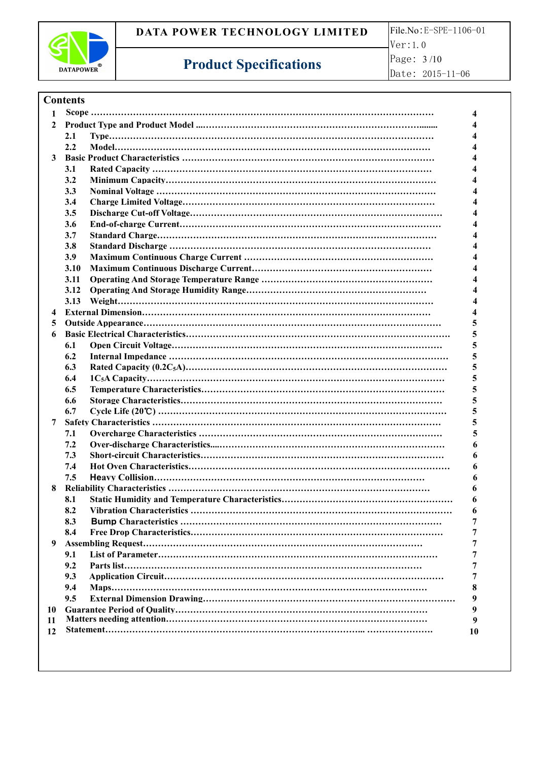

Ver:1.0 Page: 3 /10 Date: 2015-11-06

# **Product Specifications**

| <b>Contents</b> |  |
|-----------------|--|
|-----------------|--|

| 1            |      |    |  |
|--------------|------|----|--|
| $\mathbf{2}$ |      |    |  |
|              | 2.1  |    |  |
|              | 2.2  |    |  |
|              |      |    |  |
|              | 3.1  |    |  |
|              | 3.2  |    |  |
|              | 3.3  |    |  |
|              | 3.4  |    |  |
|              | 3.5  |    |  |
|              | 3.6  |    |  |
|              | 3.7  |    |  |
|              | 3.8  |    |  |
|              | 3.9  |    |  |
|              | 3.10 |    |  |
|              | 3.11 |    |  |
|              | 3.12 |    |  |
|              | 3.13 |    |  |
|              |      |    |  |
|              |      |    |  |
| $5^{\circ}$  |      |    |  |
| 6            |      |    |  |
|              | 6.1  |    |  |
|              | 6.2  |    |  |
|              | 6.3  |    |  |
|              | 6.4  | 5. |  |
|              | 6.5  | 5  |  |
|              | 6.6  | 5. |  |
|              | 6.7  | 5  |  |
| 7            |      | 5. |  |
|              | 7.1  |    |  |
|              | 7.2  | 6  |  |
|              | 7.3  | 6  |  |
|              | 7.4  | 6  |  |
|              | 7.5  |    |  |
| 8            |      |    |  |
|              | 8.1  |    |  |
|              | 8.2  |    |  |
|              | 8.3  |    |  |
|              | 8.4  |    |  |
| 9            |      |    |  |
|              | 9.1  |    |  |
|              | 9.2  |    |  |
|              | 9.3  |    |  |
|              | 9.4  |    |  |
|              | 9.5  |    |  |
| 10           |      |    |  |
| 11           |      | 9  |  |
| 12           |      | 10 |  |
|              |      |    |  |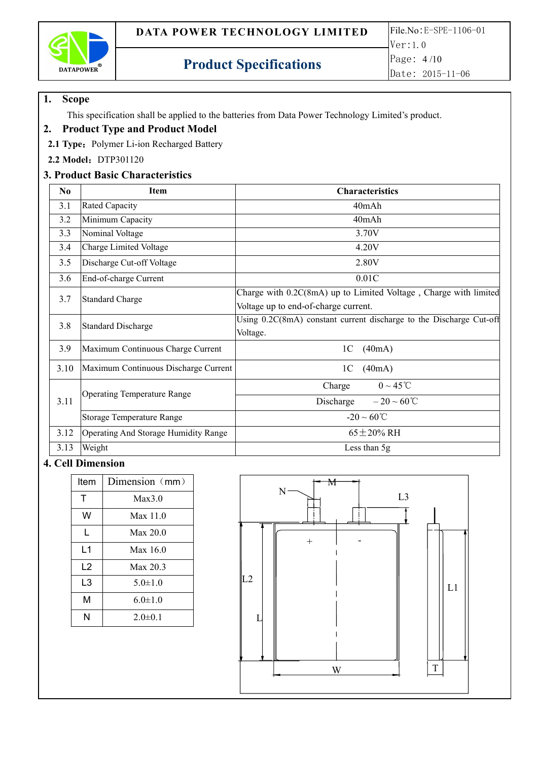

## **1. Scope**

This specification shall be applied to the batteries from Data Power Technology Limited's product.

### **2. Product Type and Product Model**

2.1 **Type:** Polymer Li-ion Recharged Battery

**2.2 Model**:DTP301120

## **3. Product Basic Characteristics**

| No   | Item                                        | <b>Characteristics</b>                                                                                   |
|------|---------------------------------------------|----------------------------------------------------------------------------------------------------------|
| 3.1  | <b>Rated Capacity</b>                       | 40mAh                                                                                                    |
| 3.2  | Minimum Capacity                            | 40mAh                                                                                                    |
| 3.3  | Nominal Voltage                             | 3.70V                                                                                                    |
| 3.4  | Charge Limited Voltage                      | 4.20V                                                                                                    |
| 3.5  | Discharge Cut-off Voltage                   | 2.80V                                                                                                    |
| 3.6  | End-of-charge Current                       | 0.01C                                                                                                    |
| 3.7  | <b>Standard Charge</b>                      | Charge with 0.2C(8mA) up to Limited Voltage, Charge with limited<br>Voltage up to end-of-charge current. |
| 3.8  | <b>Standard Discharge</b>                   | Using 0.2C(8mA) constant current discharge to the Discharge Cut-off<br>Voltage.                          |
| 3.9  | Maximum Continuous Charge Current           | (40mA)<br>1 <sup>C</sup>                                                                                 |
| 3.10 | Maximum Continuous Discharge Current        | (40mA)<br>1 <sup>C</sup>                                                                                 |
|      |                                             | $0 \sim 45$ °C<br>Charge                                                                                 |
| 3.11 | <b>Operating Temperature Range</b>          | Discharge<br>$-20 \sim 60^{\circ}C$                                                                      |
|      | <b>Storage Temperature Range</b>            | $-20 \sim 60^{\circ}C$                                                                                   |
| 3.12 | <b>Operating And Storage Humidity Range</b> | $65 \pm 20\%$ RH                                                                                         |
| 3.13 | Weight                                      | Less than 5g                                                                                             |

### **4. Cell Dimension**

| Item           | Dimension (mm) |  |
|----------------|----------------|--|
| т              | Max3.0         |  |
| W              | Max 11.0       |  |
| L              | Max 20.0       |  |
| L1             | Max 16.0       |  |
| L <sub>2</sub> | Max 20.3       |  |
| L3             | $5.0 \pm 1.0$  |  |
| M              | $6.0 \pm 1.0$  |  |
| N              | $2.0 \pm 0.1$  |  |

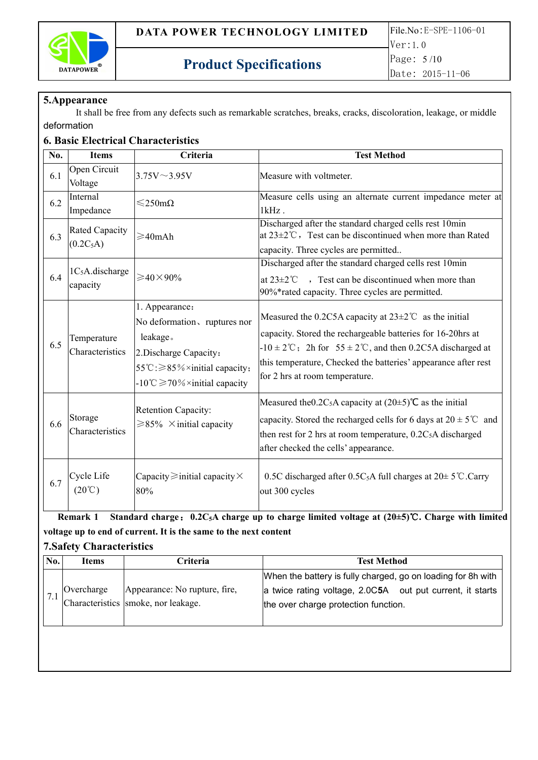

#### **5.Appearance**

It shall be free from any defects such as remarkable scratches, breaks, cracks, discoloration, leakage, or middle deformation

#### **6. Basic Electrical Characteristics**

| No. | <b>Items</b>                         | Criteria                                                                                                                                                                   | <b>Test Method</b>                                                                                                                                                                                                                                                                                                                      |
|-----|--------------------------------------|----------------------------------------------------------------------------------------------------------------------------------------------------------------------------|-----------------------------------------------------------------------------------------------------------------------------------------------------------------------------------------------------------------------------------------------------------------------------------------------------------------------------------------|
| 6.1 | Open Circuit<br>Voltage              | $3.75V \sim 3.95V$                                                                                                                                                         | Measure with voltmeter.                                                                                                                                                                                                                                                                                                                 |
| 6.2 | Internal<br>Impedance                | $\leq$ 250m $\Omega$                                                                                                                                                       | Measure cells using an alternate current impedance meter at<br>$1kHz$ .                                                                                                                                                                                                                                                                 |
| 6.3 | <b>Rated Capacity</b><br>$(0.2C_5A)$ | $\geqslant$ 40mAh                                                                                                                                                          | Discharged after the standard charged cells rest 10min<br>at $23 \pm 2^{\circ}$ C, Test can be discontinued when more than Rated<br>capacity. Three cycles are permitted                                                                                                                                                                |
| 6.4 | $1C5A$ .discharge<br>capacity        | $\geqslant$ 40×90%                                                                                                                                                         | Discharged after the standard charged cells rest 10min<br>at $23\pm2$ °C $\rightarrow$ Test can be discontinued when more than<br>90%*rated capacity. Three cycles are permitted.                                                                                                                                                       |
| 6.5 | Temperature<br>Characteristics       | . Appearance:<br>No deformation, ruptures nor<br>leakage.<br>2. Discharge Capacity:<br>55℃: ≥85%×initial capacity;<br>$-10^{\circ}$ C $\geq$ 70% $\times$ initial capacity | Measured the 0.2C5A capacity at $23 \pm 2^{\circ}$ as the initial<br>capacity. Stored the rechargeable batteries for 16-20hrs at<br>$-10 \pm 2^{\circ}\text{C}$ ; 2h for 55 $\pm 2^{\circ}\text{C}$ , and then 0.2C5A discharged at<br>this temperature, Checked the batteries' appearance after rest<br>for 2 hrs at room temperature. |
| 6.6 | Storage<br>Characteristics           | <b>Retention Capacity:</b><br>$\geq 85\%$ × initial capacity                                                                                                               | Measured the 0.2C <sub>5</sub> A capacity at $(20\pm5)$ °C as the initial<br>capacity. Stored the recharged cells for 6 days at $20 \pm 5^{\circ}$ and<br>then rest for 2 hrs at room temperature, $0.2C5A$ discharged<br>after checked the cells' appearance.                                                                          |
| 6.7 | Cycle Life<br>$(20^{\circ}\text{C})$ | Capacity $\geq$ initial capacity $\times$<br>80%                                                                                                                           | 0.5C discharged after 0.5C <sub>5</sub> A full charges at $20 \pm 5^{\circ}$ C.Carry<br>out 300 cycles                                                                                                                                                                                                                                  |

Remark 1 Standard charge: 0.2C<sub>5</sub>A charge up to charge limited voltage at (20±5)°C. Charge with limited **voltage up toend of current. It is the same to the nextcontent**

#### **7.Safety Characteristics**

| No. | Items      | driteria i                          | <b>Test Method</b>                                           |
|-----|------------|-------------------------------------|--------------------------------------------------------------|
|     |            |                                     | When the battery is fully charged, go on loading for 8h with |
|     | Overcharge | Appearance: No rupture, fire,       | a twice rating voltage, 2.0C5A out put current, it starts    |
|     |            | Characteristics smoke, nor leakage. | the over charge protection function.                         |
|     |            |                                     |                                                              |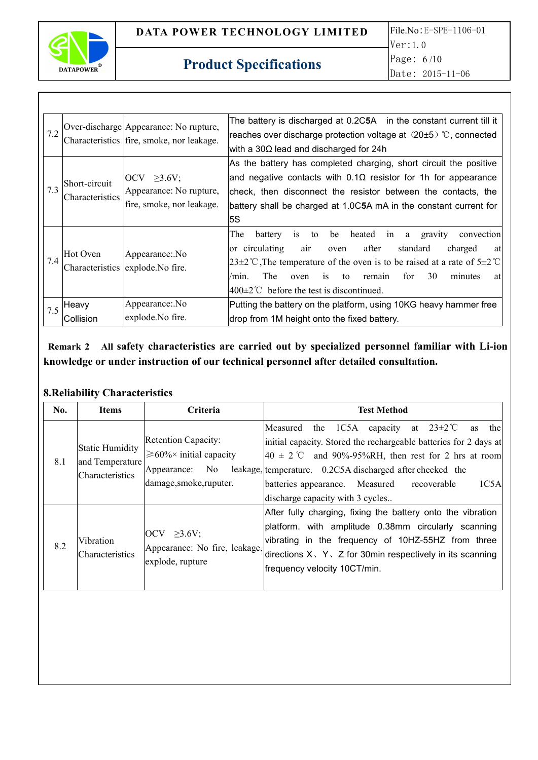

| 7.2 |                                  | Over-discharge Appearance: No rupture,<br>Characteristics   fire, smoke, nor leakage. | The battery is discharged at 0.2C5A in the constant current till it<br>reaches over discharge protection voltage at $(20\pm5)$ °C, connected<br>with a 30 $\Omega$ lead and discharged for 24h                                                                                                                                                                                                                      |
|-----|----------------------------------|---------------------------------------------------------------------------------------|---------------------------------------------------------------------------------------------------------------------------------------------------------------------------------------------------------------------------------------------------------------------------------------------------------------------------------------------------------------------------------------------------------------------|
| 7.3 | Short-circuit<br>Characteristics | $\overline{OCV} \geq 3.6V$ ;<br>Appearance: No rupture,<br>fire, smoke, nor leakage.  | As the battery has completed charging, short circuit the positive<br>and negative contacts with $0.1\Omega$ resistor for 1h for appearance<br>check, then disconnect the resistor between the contacts, the<br>battery shall be charged at 1.0C5A mA in the constant current for<br>5S                                                                                                                              |
| 7.4 | Hot Oven                         | Appearance: No<br>Characteristics explode. No fire.                                   | The<br>battery<br>heated<br>gravity<br>be<br>convection<br>1S<br>to<br>in<br>a<br>or circulating<br>after<br>standard<br>charged<br>air<br>oven<br>at<br>$[23\pm2^{\circ}\text{C}$ , The temperature of the oven is to be raised at a rate of $5\pm2^{\circ}\text{C}$<br>for<br>30<br>The<br>minutes<br>$i$ s<br>to<br>remain<br>at<br>/mın.<br>oven<br>$ 400\pm2^{\circ}\text{C}$ before the test is discontinued. |
| 7.5 | Heavy<br>Collision               | Appearance: No<br>explode. No fire.                                                   | Putting the battery on the platform, using 10KG heavy hammer free<br>drop from 1M height onto the fixed battery.                                                                                                                                                                                                                                                                                                    |

**Remark 2 All safety characteristics are carried out by specialized personnel familiar with Li-ion knowledge or under instruction of our technical personnel after detailed consultation.**

## **8.Reliability Characteristics**

| No. | <b>Items</b>                                                 | Criteria                                                                                                       | <b>Test Method</b>                                                                                                                                                                                                                                                                                                                                                         |
|-----|--------------------------------------------------------------|----------------------------------------------------------------------------------------------------------------|----------------------------------------------------------------------------------------------------------------------------------------------------------------------------------------------------------------------------------------------------------------------------------------------------------------------------------------------------------------------------|
| 8.1 | <b>Static Humidity</b><br>and Temperature<br>Characteristics | <b>Retention Capacity:</b><br>$\geq 60\% \times$ initial capacity<br>Appearance: No<br>damage, smoke, ruputer. | the 1C5A<br>at $23 \pm 2$ °C<br>Measured<br>capacity<br>thel<br><b>as</b><br>initial capacity. Stored the rechargeable batteries for 2 days at<br>$ 40 \pm 2 \degree$ and 90%-95%RH, then rest for 2 hrs at room<br>leakage, temperature. 0.2C5A discharged after checked the<br>batteries appearance. Measured<br>1C5A<br>recoverable<br>discharge capacity with 3 cycles |
| 8.2 | Vibration<br>Characteristics                                 | $\vert$ OCV $\geq$ 3.6V;<br>Appearance: No fire, leakage,<br>explode, rupture                                  | After fully charging, fixing the battery onto the vibration<br>platform. with amplitude 0.38mm circularly scanning<br>vibrating in the frequency of 10HZ-55HZ from three<br>directions $X \, \setminus \, Y \, \setminus \, Z$ for 30 min respectively in its scanning<br>frequency velocity 10CT/min.                                                                     |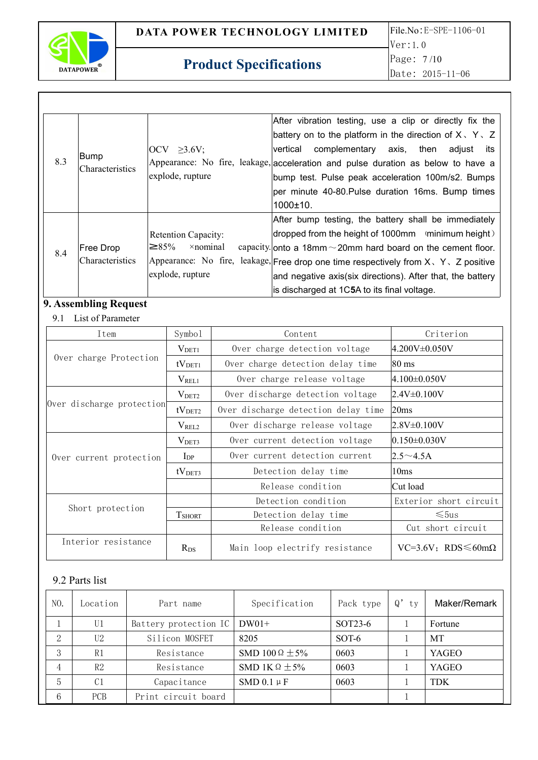

|     |                         |                                                | After vibration testing, use a clip or directly fix the                                   |
|-----|-------------------------|------------------------------------------------|-------------------------------------------------------------------------------------------|
|     |                         |                                                | battery on to the platform in the direction of $X \, \setminus \, Y \, \setminus \, Z$    |
|     |                         | $\vert \text{OCV} \rangle \geq 3.6 \text{V}$ ; | complementary axis, then adjust<br>lvertical<br>its                                       |
| 8.3 | Bump<br>Characteristics |                                                | Appearance: No fire, leakage, acceleration and pulse duration as below to have a          |
|     |                         | explode, rupture                               | bump test. Pulse peak acceleration 100m/s2. Bumps                                         |
|     |                         |                                                | per minute 40-80. Pulse duration 16ms. Bump times                                         |
|     |                         |                                                | $1000 \pm 10$ .                                                                           |
|     |                         |                                                | After bump testing, the battery shall be immediately                                      |
|     |                         | <b>Retention Capacity:</b>                     | dropped from the height of 1000mm (minimum height)                                        |
| 8.4 | Free Drop               | $\times$ nominal<br>$\geq$ 85%                 | capacity onto a 18mm $\sim$ 20mm hard board on the cement floor.                          |
|     | <b>Characteristics</b>  |                                                | Appearance: No fire, leakage, Free drop one time respectively from $X \, Y \, Z$ positive |
|     |                         | explode, rupture                               | and negative axis(six directions). After that, the battery                                |
|     |                         |                                                | is discharged at 1C5A to its final voltage.                                               |

# **9. Assembling Request**

#### 9.1 List of Parameter

| Item                                                              | Symbo1             | Content                                  | Criterion              |
|-------------------------------------------------------------------|--------------------|------------------------------------------|------------------------|
|                                                                   | $V_{\rm DET1}$     | Over charge detection voltage            | $ 4.200V \pm 0.050V$   |
| Over charge Protection                                            | tV <sub>DET1</sub> | Over charge detection delay time         | $80 \text{ ms}$        |
|                                                                   | $V_{REL1}$         | Over charge release voltage              | $ 4.100 \pm 0.050V$    |
|                                                                   | V <sub>DET2</sub>  | Over discharge detection voltage         | $2.4V \pm 0.100V$      |
| Over discharge protection                                         | tV <sub>DET2</sub> | Over discharge detection delay time      | 20ms                   |
|                                                                   | V <sub>REL2</sub>  | Over discharge release voltage           | $2.8V \pm 0.100V$      |
|                                                                   | $V_{\rm DET3}$     | Over current detection voltage           | $0.150 \pm 0.030 V$    |
| Over current protection                                           | $\rm{I}_{DP}$      | Over current detection current           | $2.5 \sim 4.5$ A       |
|                                                                   | tV <sub>DET3</sub> | Detection delay time                     | 10ms                   |
|                                                                   |                    | Release condition                        | Cut load               |
|                                                                   |                    | Detection condition                      | Exterior short circuit |
| Short protection                                                  | <b>T</b> SHORT     | Detection delay time                     | $\leq 5$ us            |
|                                                                   |                    | Release condition                        | Cut short circuit      |
| Interior resistance<br>Main loop electrify resistance<br>$R_{DS}$ |                    | $VC=3.6V$ ; RDS $\leq 60 \text{m}\Omega$ |                        |

## 9.2 Parts list

| NO.      | Location       | Part name             | Specification            | Pack type            | Q'<br>ty | Maker/Remark |
|----------|----------------|-----------------------|--------------------------|----------------------|----------|--------------|
|          | U1             | Battery protection IC | $DW01+$                  | SOT <sub>23</sub> -6 |          | Fortune      |
| $\Omega$ | U2             | Silicon MOSFET        | 8205                     | SOT-6                |          | MT           |
| $\Omega$ | R1             | Resistance            | SMD 100 $\Omega \pm 5\%$ | 0603                 |          | <b>YAGEO</b> |
| 4        | R2             | Resistance            | SMD 1K $\Omega \pm 5\%$  | 0603                 |          | YAGEO        |
|          | C <sub>1</sub> | Capacitance           | SMD $0.1 \mu F$          | 0603                 |          | <b>TDK</b>   |
| 6        | PCB            | Print circuit board   |                          |                      |          |              |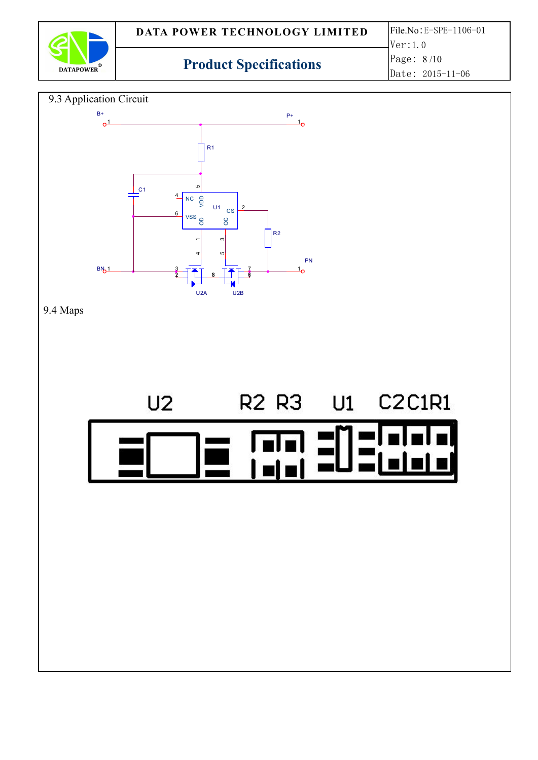

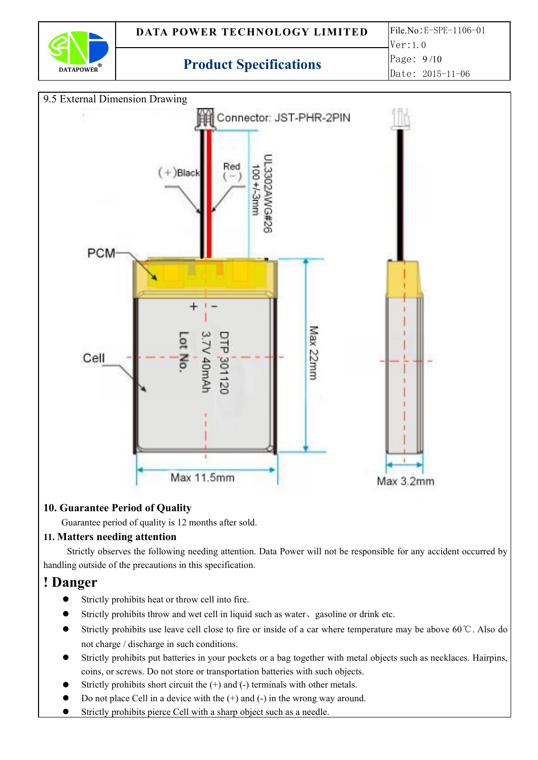



## **10. Guarantee Period of Quality**

Guarantee period of quality is 12 months after sold.

### **11. Matters needing attention**

Strictly observes the following needing attention. Data Power will not be responsible for any accident occurred by handling outside of the precautions in this specification.

## **! Danger**

- Strictly prohibits heat or throw cell into fire.
- Strictly prohibits throw and wet cell in liquid such as water、gasoline or drink etc.
- Strictly prohibits use leave cell close to fire or inside of a car where temperature may be above 60℃. Also do not charge / discharge in such conditions.
- Strictly prohibits put batteries in your pockets or a bag together with metal objects such as necklaces. Hairpins, coins, or screws. Do not store or transportation batteries with such objects.
- Strictly prohibits short circuit the  $(+)$  and  $(-)$  terminals with other metals.
- Do not place Cell in a device with the  $(+)$  and  $(-)$  in the wrong way around.
- Strictly prohibits pierce Cell with a sharp object such as a needle.